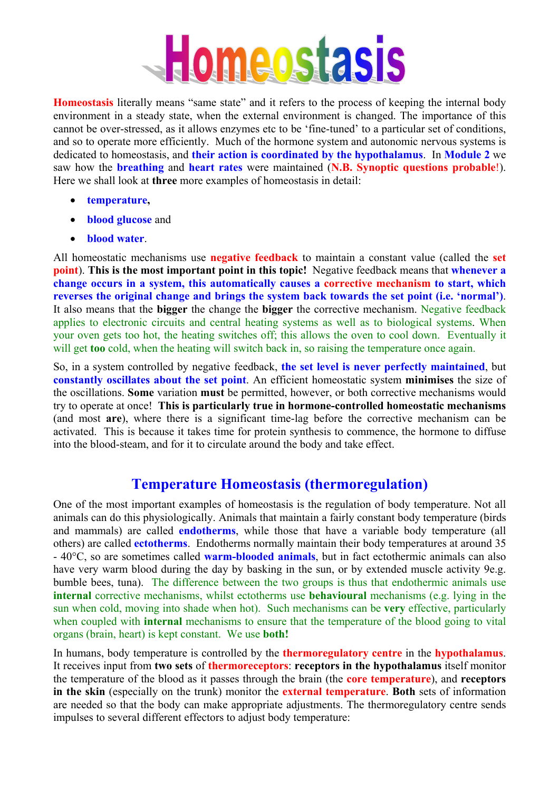

**Homeostasis** literally means "same state" and it refers to the process of keeping the internal body environment in a steady state, when the external environment is changed. The importance of this cannot be over-stressed, as it allows enzymes etc to be 'fine-tuned' to a particular set of conditions, and so to operate more efficiently. Much of the hormone system and autonomic nervous systems is dedicated to homeostasis, and **their action is coordinated by the hypothalamus**. In **Module 2** we saw how the **breathing** and **heart rates** were maintained (**N.B. Synoptic questions probable**!). Here we shall look at **three** more examples of homeostasis in detail:

- **temperature,**
- **blood glucose** and
- **blood water**.

All homeostatic mechanisms use **negative feedback** to maintain a constant value (called the **set point**). **This is the most important point in this topic!** Negative feedback means that **whenever a change occurs in a system, this automatically causes a corrective mechanism to start, which reverses the original change and brings the system back towards the set point (i.e. 'normal')**. It also means that the **bigger** the change the **bigger** the corrective mechanism. Negative feedback applies to electronic circuits and central heating systems as well as to biological systems. When your oven gets too hot, the heating switches off; this allows the oven to cool down. Eventually it will get **too** cold, when the heating will switch back in, so raising the temperature once again.

So, in a system controlled by negative feedback, **the set level is never perfectly maintained**, but **constantly oscillates about the set point**. An efficient homeostatic system **minimises** the size of the oscillations. **Some** variation **must** be permitted, however, or both corrective mechanisms would try to operate at once! **This is particularly true in hormone-controlled homeostatic mechanisms** (and most **are**), where there is a significant time-lag before the corrective mechanism can be activated. This is because it takes time for protein synthesis to commence, the hormone to diffuse into the blood-steam, and for it to circulate around the body and take effect.

#### **Temperature Homeostasis (thermoregulation)**

One of the most important examples of homeostasis is the regulation of body temperature. Not all animals can do this physiologically. Animals that maintain a fairly constant body temperature (birds and mammals) are called **endotherms**, while those that have a variable body temperature (all others) are called **ectotherms**. Endotherms normally maintain their body temperatures at around 35 - 40°C, so are sometimes called **warm-blooded animals**, but in fact ectothermic animals can also have very warm blood during the day by basking in the sun, or by extended muscle activity 9e.g. bumble bees, tuna). The difference between the two groups is thus that endothermic animals use **internal** corrective mechanisms, whilst ectotherms use **behavioural** mechanisms (e.g. lying in the sun when cold, moving into shade when hot). Such mechanisms can be **very** effective, particularly when coupled with **internal** mechanisms to ensure that the temperature of the blood going to vital organs (brain, heart) is kept constant. We use **both!** 

In humans, body temperature is controlled by the **thermoregulatory centre** in the **hypothalamus**. It receives input from **two sets** of **thermoreceptors**: **receptors in the hypothalamus** itself monitor the temperature of the blood as it passes through the brain (the **core temperature**), and **receptors in the skin** (especially on the trunk) monitor the **external temperature**. **Both** sets of information are needed so that the body can make appropriate adjustments. The thermoregulatory centre sends impulses to several different effectors to adjust body temperature: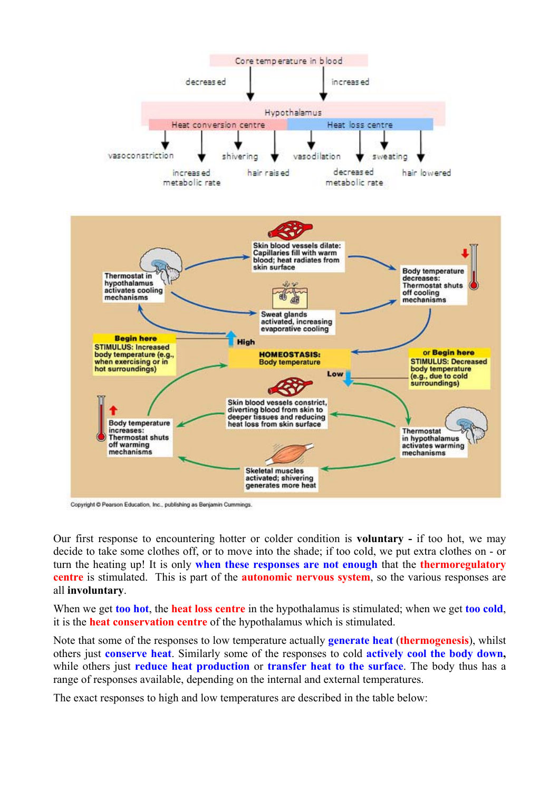

Copyright @ Pearson Education, Inc., publishing as Benjamin Cummings.

Our first response to encountering hotter or colder condition is **voluntary -** if too hot, we may decide to take some clothes off, or to move into the shade; if too cold, we put extra clothes on - or turn the heating up! It is only **when these responses are not enough** that the **thermoregulatory centre** is stimulated. This is part of the **autonomic nervous system**, so the various responses are all **involuntary**.

When we get **too hot**, the **heat loss centre** in the hypothalamus is stimulated; when we get **too cold**, it is the **heat conservation centre** of the hypothalamus which is stimulated.

Note that some of the responses to low temperature actually **generate heat** (**thermogenesis**), whilst others just **conserve heat**. Similarly some of the responses to cold **actively cool the body down,** while others just **reduce heat production** or **transfer heat to the surface**. The body thus has a range of responses available, depending on the internal and external temperatures.

The exact responses to high and low temperatures are described in the table below: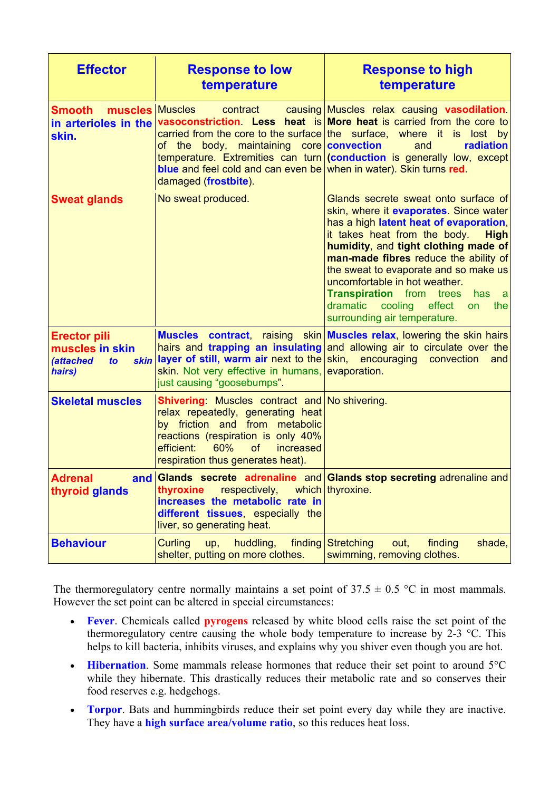| <b>Effector</b>                                                                                   | <b>Response to low</b><br>temperature                                                                                                                                                                                                          | <b>Response to high</b><br>temperature                                                                                                                                                                                                                                                                                                                                                                                                                                |
|---------------------------------------------------------------------------------------------------|------------------------------------------------------------------------------------------------------------------------------------------------------------------------------------------------------------------------------------------------|-----------------------------------------------------------------------------------------------------------------------------------------------------------------------------------------------------------------------------------------------------------------------------------------------------------------------------------------------------------------------------------------------------------------------------------------------------------------------|
| muscles Muscles<br><b>Smooth</b><br>in arterioles in the<br>skin.                                 | contract<br>body, maintaining core convection<br>οf<br>the<br><b>blue</b> and feel cold and can even be when in water). Skin turns red.<br>damaged (frostbite).                                                                                | causing Muscles relax causing vasodilation.<br>vasoconstriction. Less heat is More heat is carried from the core to<br>carried from the core to the surface the surface, where it is lost by<br>radiation<br>and<br>$temperature.$ Extremities can $turn $ (conduction is generally low, except                                                                                                                                                                       |
| <b>Sweat glands</b>                                                                               | No sweat produced.                                                                                                                                                                                                                             | Glands secrete sweat onto surface of<br>skin, where it evaporates. Since water<br>has a high latent heat of evaporation,<br>it takes heat from the body.<br><b>High</b><br>humidity, and tight clothing made of<br>man-made fibres reduce the ability of<br>the sweat to evaporate and so make us<br>uncomfortable in hot weather.<br><b>Transpiration</b> from<br>trees<br>has<br>- a<br>dramatic<br>cooling<br>effect<br>the<br>on.<br>surrounding air temperature. |
| <b>Erector pili</b><br>muscles in skin<br><i><b>(attached)</b></i><br><b>skin</b><br>to<br>hairs) | hairs and trapping an insulating<br>layer of still, warm air next to the<br>skin. Not very effective in humans,<br>just causing "goosebumps".                                                                                                  | Muscles contract, raising skin Muscles relax, lowering the skin hairs<br>and allowing air to circulate over the<br>skin, encouraging<br>convection<br>and<br>evaporation.                                                                                                                                                                                                                                                                                             |
| <b>Skeletal muscles</b>                                                                           | Shivering: Muscles contract and No shivering.<br>relax repeatedly, generating heat<br>by friction and from metabolic<br>reactions (respiration is only 40%<br>60%<br>efficient:<br><b>of</b><br>increased<br>respiration thus generates heat). |                                                                                                                                                                                                                                                                                                                                                                                                                                                                       |
| <b>Adrenal</b><br>thyroid glands                                                                  | thyroxine<br>respectively,<br>increases the metabolic rate in<br>different tissues, especially the<br>liver, so generating heat.                                                                                                               | and Glands secrete adrenaline and Glands stop secreting adrenaline and<br>which   thyroxine.                                                                                                                                                                                                                                                                                                                                                                          |
| <b>Behaviour</b>                                                                                  | <b>Curling</b><br>huddling,<br>finding<br>up,<br>shelter, putting on more clothes.                                                                                                                                                             | <b>Stretching</b><br>finding<br>shade,<br>out,<br>swimming, removing clothes.                                                                                                                                                                                                                                                                                                                                                                                         |

The thermoregulatory centre normally maintains a set point of  $37.5 \pm 0.5$  °C in most mammals. However the set point can be altered in special circumstances:

- **Fever**. Chemicals called **pyrogens** released by white blood cells raise the set point of the thermoregulatory centre causing the whole body temperature to increase by  $2-3$  °C. This helps to kill bacteria, inhibits viruses, and explains why you shiver even though you are hot.
- **Hibernation**. Some mammals release hormones that reduce their set point to around 5°C while they hibernate. This drastically reduces their metabolic rate and so conserves their food reserves e.g. hedgehogs.
- **Torpor**. Bats and hummingbirds reduce their set point every day while they are inactive. They have a **high surface area/volume ratio**, so this reduces heat loss.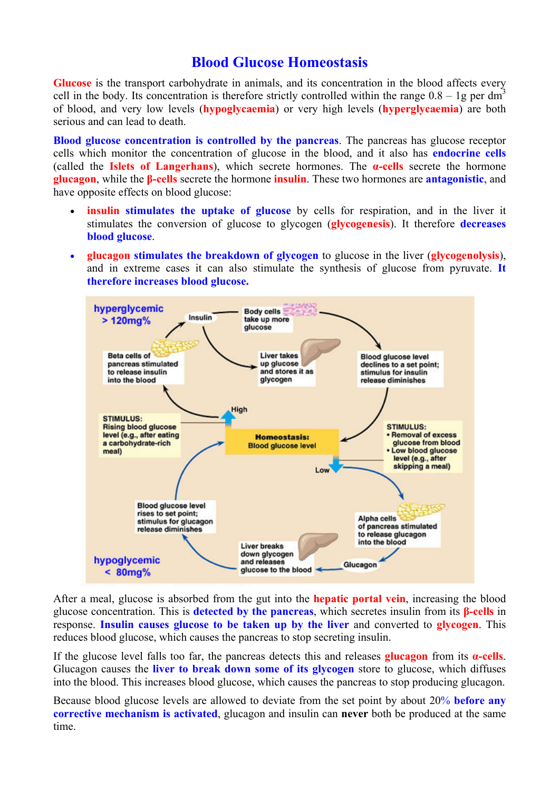### **Blood Glucose Homeostasis**

**Glucose** is the transport carbohydrate in animals, and its concentration in the blood affects every cell in the body. Its concentration is therefore strictly controlled within the range  $0.8 - 1g$  per dm<sup>3</sup> of blood, and very low levels (**hypoglycaemia**) or very high levels (**hyperglycaemia**) are both serious and can lead to death.

**Blood glucose concentration is controlled by the pancreas**. The pancreas has glucose receptor cells which monitor the concentration of glucose in the blood, and it also has **endocrine cells** (called the **Islets of Langerhans**), which secrete hormones. The **α-cells** secrete the hormone **glucagon**, while the **β-cells** secrete the hormone **insulin**. These two hormones are **antagonistic**, and have opposite effects on blood glucose:

- **insulin stimulates the uptake of glucose** by cells for respiration, and in the liver it stimulates the conversion of glucose to glycogen (**glycogenesis**). It therefore **decreases blood glucose**.
- **glucagon stimulates the breakdown of glycogen** to glucose in the liver (**glycogenolysis**), and in extreme cases it can also stimulate the synthesis of glucose from pyruvate. **It therefore increases blood glucose.**



After a meal, glucose is absorbed from the gut into the **hepatic portal vein**, increasing the blood glucose concentration. This is **detected by the pancreas**, which secretes insulin from its **β-cells** in response. **Insulin causes glucose to be taken up by the liver** and converted to **glycogen**. This reduces blood glucose, which causes the pancreas to stop secreting insulin.

If the glucose level falls too far, the pancreas detects this and releases **glucagon** from its **α-cells**. Glucagon causes the **liver to break down some of its glycogen** store to glucose, which diffuses into the blood. This increases blood glucose, which causes the pancreas to stop producing glucagon.

Because blood glucose levels are allowed to deviate from the set point by about 20% **before any corrective mechanism is activated**, glucagon and insulin can **never** both be produced at the same time.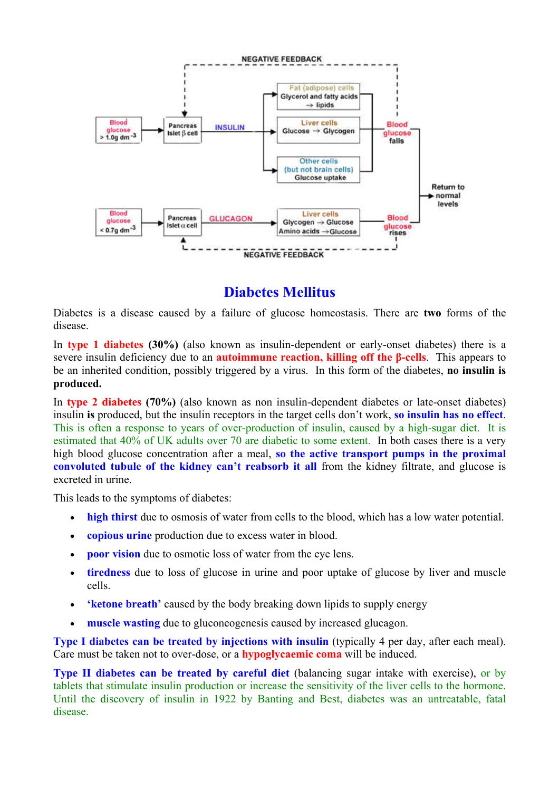

## **Diabetes Mellitus**

Diabetes is a disease caused by a failure of glucose homeostasis. There are **two** forms of the disease.

In **type 1 diabetes (30%)** (also known as insulin-dependent or early-onset diabetes) there is a severe insulin deficiency due to an **autoimmune reaction, killing off the β-cells**. This appears to be an inherited condition, possibly triggered by a virus. In this form of the diabetes, **no insulin is produced.** 

In **type 2 diabetes (70%)** (also known as non insulin-dependent diabetes or late-onset diabetes) insulin **is** produced, but the insulin receptors in the target cells don't work, **so insulin has no effect**. This is often a response to years of over-production of insulin, caused by a high-sugar diet. It is estimated that 40% of UK adults over 70 are diabetic to some extent. In both cases there is a very high blood glucose concentration after a meal, **so the active transport pumps in the proximal convoluted tubule of the kidney can't reabsorb it all** from the kidney filtrate, and glucose is excreted in urine.

This leads to the symptoms of diabetes:

- **high thirst** due to osmosis of water from cells to the blood, which has a low water potential.
- **copious urine** production due to excess water in blood.
- **poor vision** due to osmotic loss of water from the eye lens.
- **tiredness** due to loss of glucose in urine and poor uptake of glucose by liver and muscle cells.
- **'ketone breath'** caused by the body breaking down lipids to supply energy
- **muscle wasting** due to gluconeogenesis caused by increased glucagon.

**Type I diabetes can be treated by injections with insulin** (typically 4 per day, after each meal). Care must be taken not to over-dose, or a **hypoglycaemic coma** will be induced.

**Type II diabetes can be treated by careful diet** (balancing sugar intake with exercise), or by tablets that stimulate insulin production or increase the sensitivity of the liver cells to the hormone. Until the discovery of insulin in 1922 by Banting and Best, diabetes was an untreatable, fatal disease.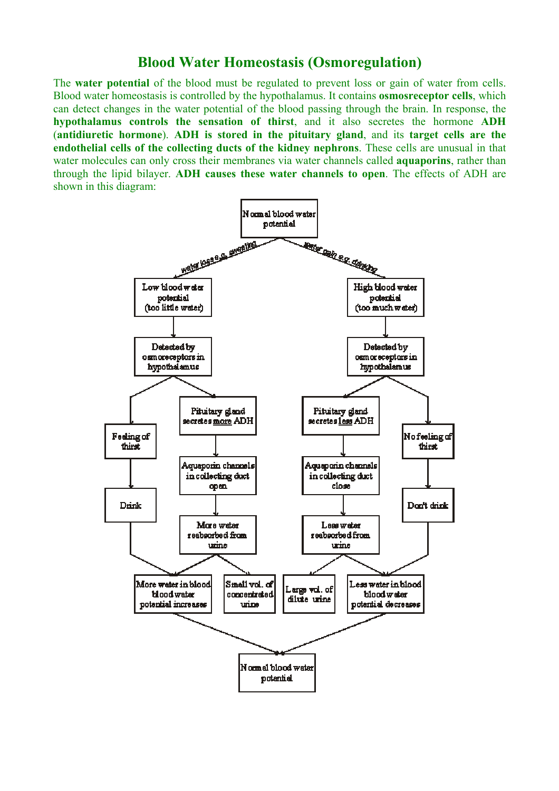#### **Blood Water Homeostasis (Osmoregulation)**

The **water potential** of the blood must be regulated to prevent loss or gain of water from cells. Blood water homeostasis is controlled by the hypothalamus. It contains **osmosreceptor cells**, which can detect changes in the water potential of the blood passing through the brain. In response, the **hypothalamus controls the sensation of thirst**, and it also secretes the hormone **ADH** (**antidiuretic hormone**). **ADH is stored in the pituitary gland**, and its **target cells are the endothelial cells of the collecting ducts of the kidney nephrons**. These cells are unusual in that water molecules can only cross their membranes via water channels called **aquaporins**, rather than through the lipid bilayer. **ADH causes these water channels to open**. The effects of ADH are shown in this diagram: